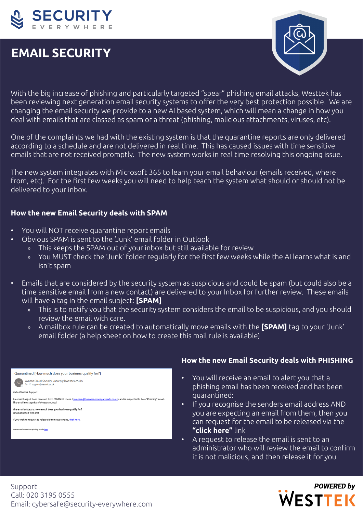

# **EMAIL SECURITY**



With the big increase of phishing and particularly targeted "spear" phishing email attacks, Westtek has been reviewing next generation email security systems to offer the very best protection possible. We are changing the email security we provide to a new AI based system, which will mean a change in how you deal with emails that are classed as spam or a threat (phishing, malicious attachments, viruses, etc).

One of the complaints we had with the existing system is that the quarantine reports are only delivered according to a schedule and are not delivered in real time. This has caused issues with time sensitive emails that are not received promptly. The new system works in real time resolving this ongoing issue.

The new system integrates with Microsoft 365 to learn your email behaviour (emails received, where from, etc). For the first few weeks you will need to help teach the system what should or should not be delivered to your inbox.

### **How the new Email Security deals with SPAM**

- You will NOT receive quarantine report emails
	- Obvious SPAM is sent to the 'Junk' email folder in Outlook
		- » This keeps the SPAM out of your inbox but still available for review
		- » You MUST check the 'Junk' folder regularly for the first few weeks while the AI learns what is and isn't spam
- Emails that are considered by the security system as suspicious and could be spam (but could also be a time sensitive email from a new contact) are delivered to your Inbox for further review. These emails will have a tag in the email subject: **[SPAM]** 
	- » This is to notify you that the security system considers the email to be suspicious, and you should review the email with care.
	- » A mailbox rule can be created to automatically move emails with the **[SPAM]** tag to your 'Junk' email folder (a help sheet on how to create this mail rule is available)



## **How the new Email Security deals with PHISHING**

- You will receive an email to alert you that a phishing email has been received and has been quarantined:
- If you recognise the senders email address AND you are expecting an email from them, then you can request for the email to be released via the **"click here"** link
- A request to release the email is sent to an administrator who will review the email to confirm it is not malicious, and then release it for you